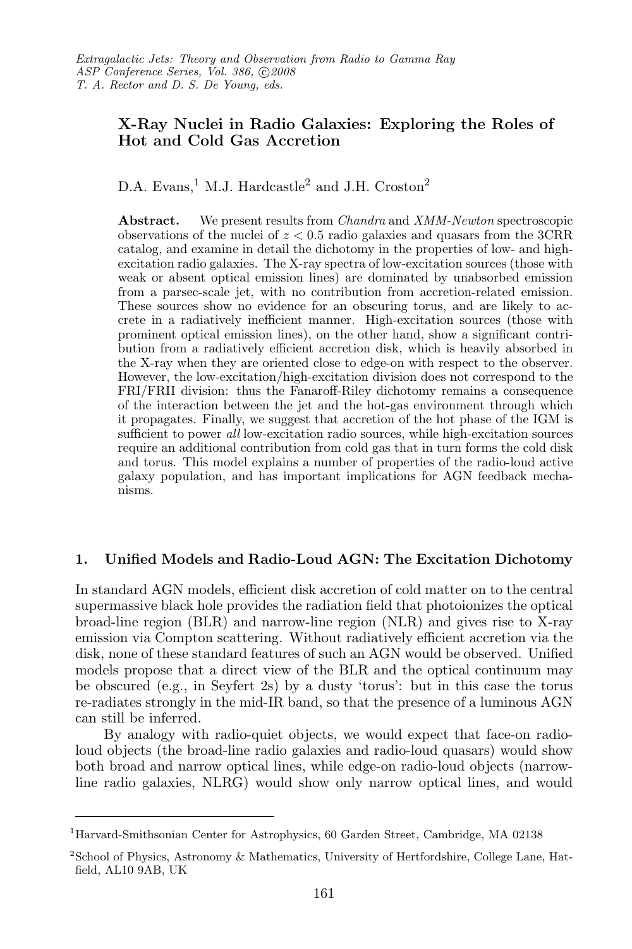# X-Ray Nuclei in Radio Galaxies: Exploring the Roles of Hot and Cold Gas Accretion

D.A. Evans,<sup>1</sup> M.J. Hardcastle<sup>2</sup> and J.H. Croston<sup>2</sup>

Abstract. We present results from *Chandra* and *XMM-Newton* spectroscopic observations of the nuclei of  $z < 0.5$  radio galaxies and quasars from the 3CRR catalog, and examine in detail the dichotomy in the properties of low- and highexcitation radio galaxies. The X-ray spectra of low-excitation sources (those with weak or absent optical emission lines) are dominated by unabsorbed emission from a parsec-scale jet, with no contribution from accretion-related emission. These sources show no evidence for an obscuring torus, and are likely to accrete in a radiatively inefficient manner. High-excitation sources (those with prominent optical emission lines), on the other hand, show a significant contribution from a radiatively efficient accretion disk, which is heavily absorbed in the X-ray when they are oriented close to edge-on with respect to the observer. However, the low-excitation/high-excitation division does not correspond to the FRI/FRII division: thus the Fanaroff-Riley dichotomy remains a consequence of the interaction between the jet and the hot-gas environment through which it propagates. Finally, we suggest that accretion of the hot phase of the IGM is sufficient to power all low-excitation radio sources, while high-excitation sources require an additional contribution from cold gas that in turn forms the cold disk and torus. This model explains a number of properties of the radio-loud active galaxy population, and has important implications for AGN feedback mechanisms.

## 1. Unified Models and Radio-Loud AGN: The Excitation Dichotomy

In standard AGN models, efficient disk accretion of cold matter on to the central supermassive black hole provides the radiation field that photoionizes the optical broad-line region (BLR) and narrow-line region (NLR) and gives rise to X-ray emission via Compton scattering. Without radiatively efficient accretion via the disk, none of these standard features of such an AGN would be observed. Unified models propose that a direct view of the BLR and the optical continuum may be obscured (e.g., in Seyfert 2s) by a dusty 'torus': but in this case the torus re-radiates strongly in the mid-IR band, so that the presence of a luminous AGN can still be inferred.

By analogy with radio-quiet objects, we would expect that face-on radioloud objects (the broad-line radio galaxies and radio-loud quasars) would show both broad and narrow optical lines, while edge-on radio-loud objects (narrowline radio galaxies, NLRG) would show only narrow optical lines, and would

<sup>1</sup>Harvard-Smithsonian Center for Astrophysics, 60 Garden Street, Cambridge, MA 02138

<sup>2</sup>School of Physics, Astronomy & Mathematics, University of Hertfordshire, College Lane, Hatfield, AL10 9AB, UK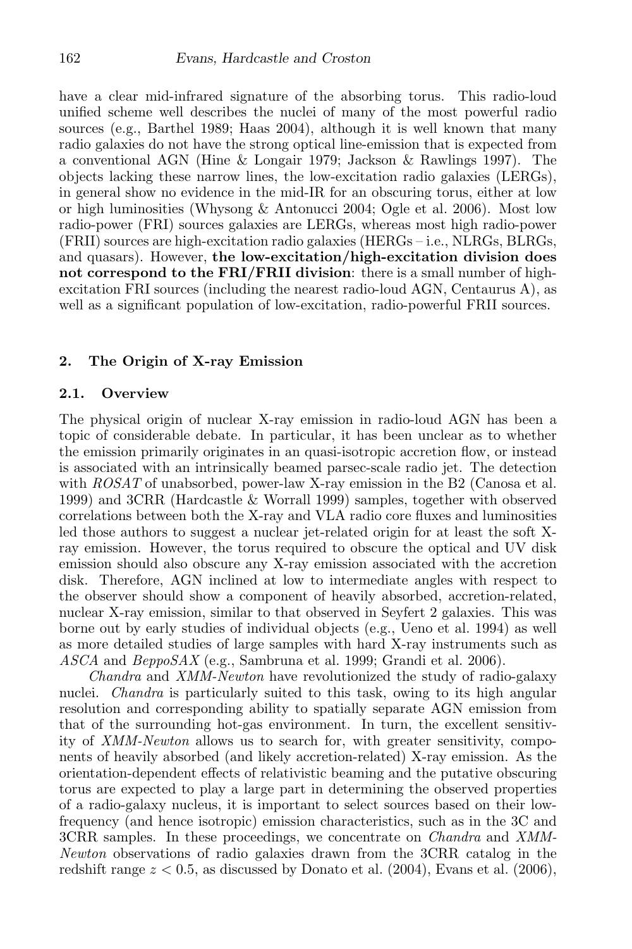have a clear mid-infrared signature of the absorbing torus. This radio-loud unified scheme well describes the nuclei of many of the most powerful radio sources (e.g., Barthel 1989; Haas 2004), although it is well known that many radio galaxies do not have the strong optical line-emission that is expected from a conventional AGN (Hine & Longair 1979; Jackson & Rawlings 1997). The objects lacking these narrow lines, the low-excitation radio galaxies (LERGs), in general show no evidence in the mid-IR for an obscuring torus, either at low or high luminosities (Whysong & Antonucci 2004; Ogle et al. 2006). Most low radio-power (FRI) sources galaxies are LERGs, whereas most high radio-power (FRII) sources are high-excitation radio galaxies (HERGs – i.e., NLRGs, BLRGs, and quasars). However, the low-excitation/high-excitation division does not correspond to the FRI/FRII division: there is a small number of highexcitation FRI sources (including the nearest radio-loud AGN, Centaurus A), as well as a significant population of low-excitation, radio-powerful FRII sources.

#### 2. The Origin of X-ray Emission

### 2.1. Overview

The physical origin of nuclear X-ray emission in radio-loud AGN has been a topic of considerable debate. In particular, it has been unclear as to whether the emission primarily originates in an quasi-isotropic accretion flow, or instead is associated with an intrinsically beamed parsec-scale radio jet. The detection with ROSAT of unabsorbed, power-law X-ray emission in the B2 (Canosa et al. 1999) and 3CRR (Hardcastle & Worrall 1999) samples, together with observed correlations between both the X-ray and VLA radio core fluxes and luminosities led those authors to suggest a nuclear jet-related origin for at least the soft Xray emission. However, the torus required to obscure the optical and UV disk emission should also obscure any X-ray emission associated with the accretion disk. Therefore, AGN inclined at low to intermediate angles with respect to the observer should show a component of heavily absorbed, accretion-related, nuclear X-ray emission, similar to that observed in Seyfert 2 galaxies. This was borne out by early studies of individual objects (e.g., Ueno et al. 1994) as well as more detailed studies of large samples with hard X-ray instruments such as  $ASCA$  and  $BeppoSAX$  (e.g., Sambruna et al. 1999; Grandi et al. 2006).

Chandra and XMM-Newton have revolutionized the study of radio-galaxy nuclei. *Chandra* is particularly suited to this task, owing to its high angular resolution and corresponding ability to spatially separate AGN emission from that of the surrounding hot-gas environment. In turn, the excellent sensitivity of XMM-Newton allows us to search for, with greater sensitivity, components of heavily absorbed (and likely accretion-related) X-ray emission. As the orientation-dependent effects of relativistic beaming and the putative obscuring torus are expected to play a large part in determining the observed properties of a radio-galaxy nucleus, it is important to select sources based on their lowfrequency (and hence isotropic) emission characteristics, such as in the 3C and 3CRR samples. In these proceedings, we concentrate on *Chandra* and *XMM*-Newton observations of radio galaxies drawn from the 3CRR catalog in the redshift range  $z < 0.5$ , as discussed by Donato et al. (2004), Evans et al. (2006),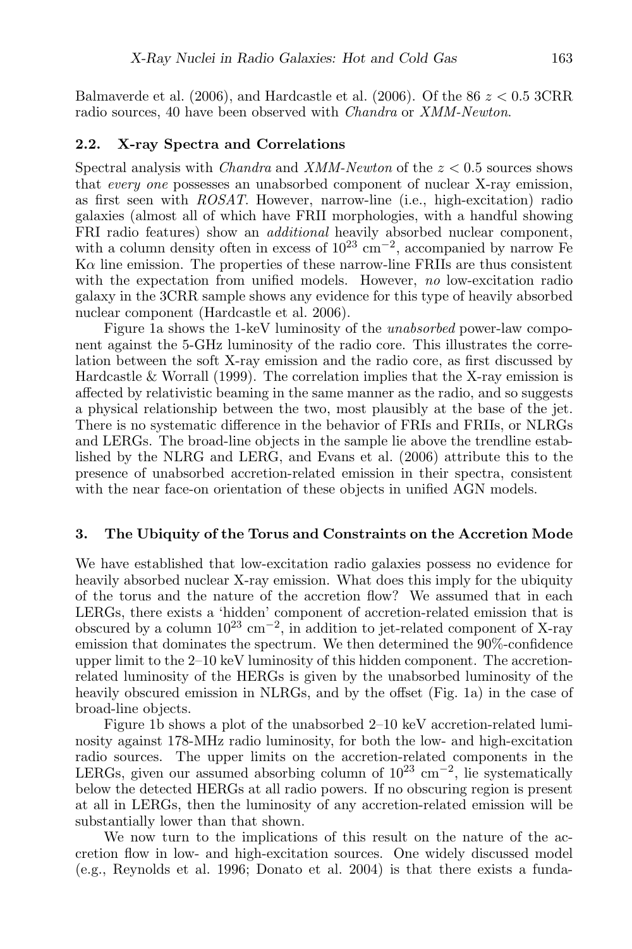Balmaverde et al. (2006), and Hardcastle et al. (2006). Of the  $86 \, z < 0.5$  3CRR radio sources, 40 have been observed with Chandra or XMM-Newton.

#### 2.2. X-ray Spectra and Correlations

Spectral analysis with *Chandra* and *XMM-Newton* of the  $z < 0.5$  sources shows that every one possesses an unabsorbed component of nuclear X-ray emission, as first seen with ROSAT. However, narrow-line (i.e., high-excitation) radio galaxies (almost all of which have FRII morphologies, with a handful showing FRI radio features) show an *additional* heavily absorbed nuclear component, with a column density often in excess of  $10^{23}$  cm<sup>-2</sup>, accompanied by narrow Fe  $\rm K\alpha$  line emission. The properties of these narrow-line FRIIs are thus consistent with the expectation from unified models. However, no low-excitation radio galaxy in the 3CRR sample shows any evidence for this type of heavily absorbed nuclear component (Hardcastle et al. 2006).

Figure 1a shows the 1-keV luminosity of the unabsorbed power-law component against the 5-GHz luminosity of the radio core. This illustrates the correlation between the soft X-ray emission and the radio core, as first discussed by Hardcastle & Worrall (1999). The correlation implies that the X-ray emission is affected by relativistic beaming in the same manner as the radio, and so suggests a physical relationship between the two, most plausibly at the base of the jet. There is no systematic difference in the behavior of FRIs and FRIIs, or NLRGs and LERGs. The broad-line objects in the sample lie above the trendline established by the NLRG and LERG, and Evans et al. (2006) attribute this to the presence of unabsorbed accretion-related emission in their spectra, consistent with the near face-on orientation of these objects in unified AGN models.

#### 3. The Ubiquity of the Torus and Constraints on the Accretion Mode

We have established that low-excitation radio galaxies possess no evidence for heavily absorbed nuclear X-ray emission. What does this imply for the ubiquity of the torus and the nature of the accretion flow? We assumed that in each LERGs, there exists a 'hidden' component of accretion-related emission that is obscured by a column  $10^{23}$  cm<sup>-2</sup>, in addition to jet-related component of X-ray emission that dominates the spectrum. We then determined the 90%-confidence upper limit to the 2–10 keV luminosity of this hidden component. The accretionrelated luminosity of the HERGs is given by the unabsorbed luminosity of the heavily obscured emission in NLRGs, and by the offset (Fig. 1a) in the case of broad-line objects.

Figure 1b shows a plot of the unabsorbed 2–10 keV accretion-related luminosity against 178-MHz radio luminosity, for both the low- and high-excitation radio sources. The upper limits on the accretion-related components in the LERGs, given our assumed absorbing column of  $10^{23}$  cm<sup>-2</sup>, lie systematically below the detected HERGs at all radio powers. If no obscuring region is present at all in LERGs, then the luminosity of any accretion-related emission will be substantially lower than that shown.

We now turn to the implications of this result on the nature of the accretion flow in low- and high-excitation sources. One widely discussed model (e.g., Reynolds et al. 1996; Donato et al. 2004) is that there exists a funda-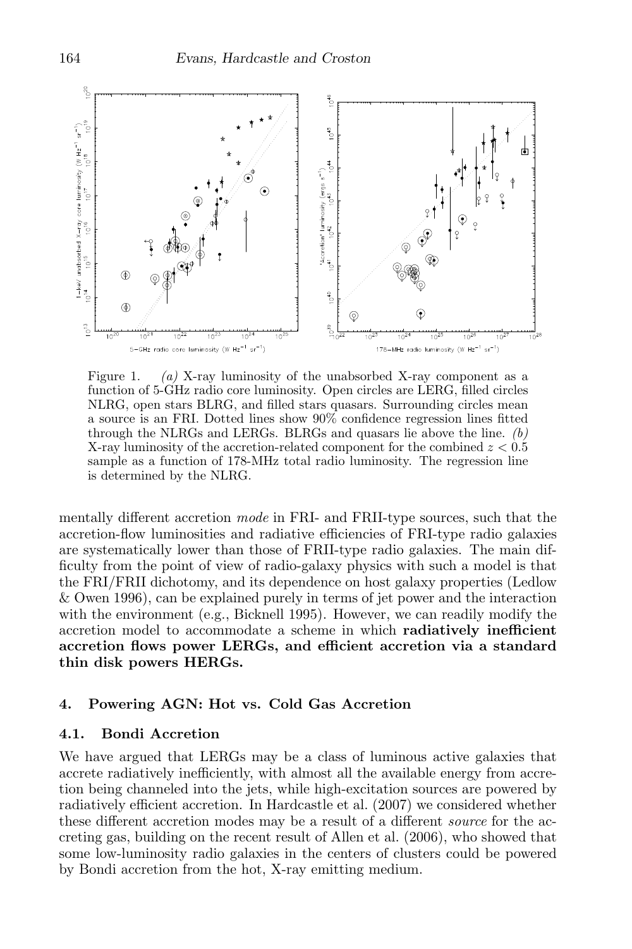

Figure 1. (a) X-ray luminosity of the unabsorbed X-ray component as a function of 5-GHz radio core luminosity. Open circles are LERG, filled circles NLRG, open stars BLRG, and filled stars quasars. Surrounding circles mean a source is an FRI. Dotted lines show 90% confidence regression lines fitted through the NLRGs and LERGs. BLRGs and quasars lie above the line.  $(b)$ X-ray luminosity of the accretion-related component for the combined  $z < 0.5$ sample as a function of 178-MHz total radio luminosity. The regression line is determined by the NLRG.

mentally different accretion *mode* in FRI- and FRII-type sources, such that the accretion-flow luminosities and radiative efficiencies of FRI-type radio galaxies are systematically lower than those of FRII-type radio galaxies. The main difficulty from the point of view of radio-galaxy physics with such a model is that the FRI/FRII dichotomy, and its dependence on host galaxy properties (Ledlow & Owen 1996), can be explained purely in terms of jet power and the interaction with the environment (e.g., Bicknell 1995). However, we can readily modify the accretion model to accommodate a scheme in which radiatively inefficient accretion flows power LERGs, and efficient accretion via a standard thin disk powers HERGs.

### 4. Powering AGN: Hot vs. Cold Gas Accretion

### 4.1. Bondi Accretion

We have argued that LERGs may be a class of luminous active galaxies that accrete radiatively inefficiently, with almost all the available energy from accretion being channeled into the jets, while high-excitation sources are powered by radiatively efficient accretion. In Hardcastle et al. (2007) we considered whether these different accretion modes may be a result of a different source for the accreting gas, building on the recent result of Allen et al. (2006), who showed that some low-luminosity radio galaxies in the centers of clusters could be powered by Bondi accretion from the hot, X-ray emitting medium.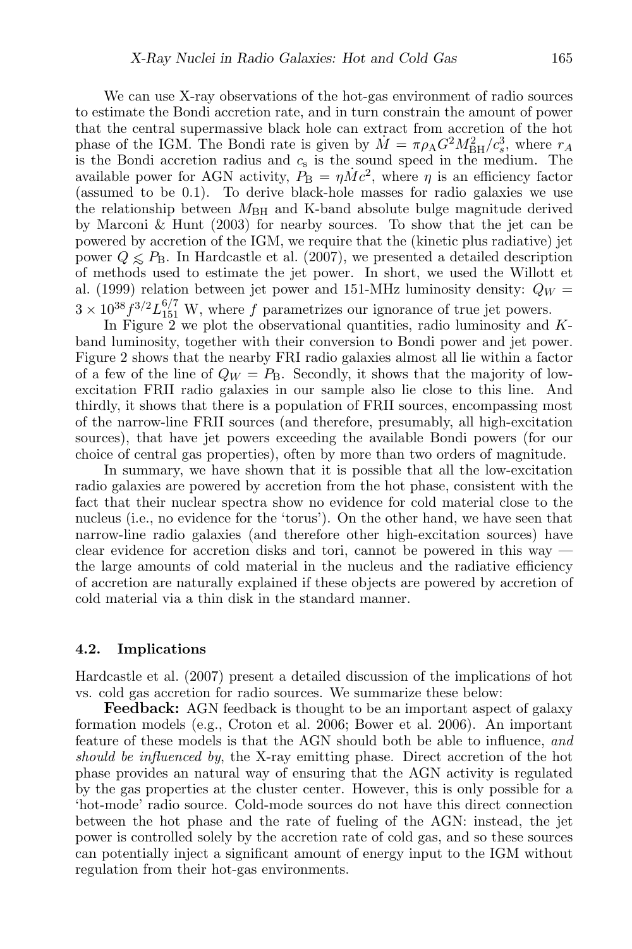We can use X-ray observations of the hot-gas environment of radio sources to estimate the Bondi accretion rate, and in turn constrain the amount of power that the central supermassive black hole can extract from accretion of the hot phase of the IGM. The Bondi rate is given by  $\dot{M} = \pi \rho_A G^2 M_{\text{BH}}^2 / c_s^3$ , where  $r_A$ is the Bondi accretion radius and  $c_s$  is the sound speed in the medium. The available power for AGN activity,  $P_{\rm B} = \eta \dot{M} c^2$ , where  $\eta$  is an efficiency factor (assumed to be 0.1). To derive black-hole masses for radio galaxies we use the relationship between  $M_{\rm BH}$  and K-band absolute bulge magnitude derived by Marconi & Hunt (2003) for nearby sources. To show that the jet can be powered by accretion of the IGM, we require that the (kinetic plus radiative) jet power  $Q \leq P_B$ . In Hardcastle et al. (2007), we presented a detailed description of methods used to estimate the jet power. In short, we used the Willott et al. (1999) relation between jet power and 151-MHz luminosity density:  $Q_W =$  $3 \times 10^{38} f^{3/2} L_{151}^{6/7}$  W, where f parametrizes our ignorance of true jet powers.

In Figure  $2$  we plot the observational quantities, radio luminosity and  $K$ band luminosity, together with their conversion to Bondi power and jet power. Figure 2 shows that the nearby FRI radio galaxies almost all lie within a factor of a few of the line of  $Q_W = P_B$ . Secondly, it shows that the majority of lowexcitation FRII radio galaxies in our sample also lie close to this line. And thirdly, it shows that there is a population of FRII sources, encompassing most of the narrow-line FRII sources (and therefore, presumably, all high-excitation sources), that have jet powers exceeding the available Bondi powers (for our choice of central gas properties), often by more than two orders of magnitude.

In summary, we have shown that it is possible that all the low-excitation radio galaxies are powered by accretion from the hot phase, consistent with the fact that their nuclear spectra show no evidence for cold material close to the nucleus (i.e., no evidence for the 'torus'). On the other hand, we have seen that narrow-line radio galaxies (and therefore other high-excitation sources) have clear evidence for accretion disks and tori, cannot be powered in this way the large amounts of cold material in the nucleus and the radiative efficiency of accretion are naturally explained if these objects are powered by accretion of cold material via a thin disk in the standard manner.

### 4.2. Implications

Hardcastle et al. (2007) present a detailed discussion of the implications of hot vs. cold gas accretion for radio sources. We summarize these below:

Feedback: AGN feedback is thought to be an important aspect of galaxy formation models (e.g., Croton et al. 2006; Bower et al. 2006). An important feature of these models is that the AGN should both be able to influence, and should be influenced by, the X-ray emitting phase. Direct accretion of the hot phase provides an natural way of ensuring that the AGN activity is regulated by the gas properties at the cluster center. However, this is only possible for a 'hot-mode' radio source. Cold-mode sources do not have this direct connection between the hot phase and the rate of fueling of the AGN: instead, the jet power is controlled solely by the accretion rate of cold gas, and so these sources can potentially inject a significant amount of energy input to the IGM without regulation from their hot-gas environments.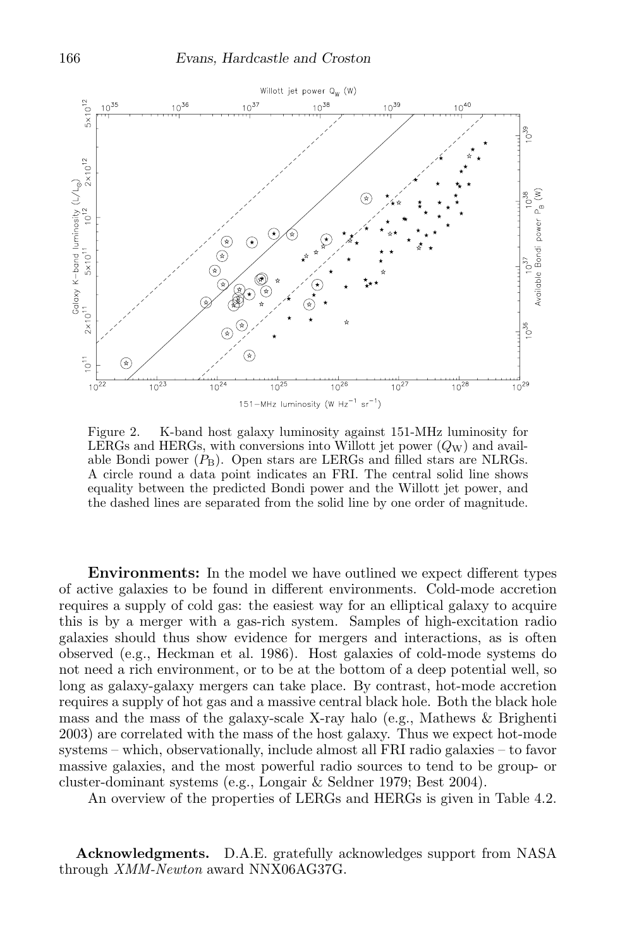

Figure 2. K-band host galaxy luminosity against 151-MHz luminosity for LERGs and HERGs, with conversions into Willott jet power  $(Q_W)$  and available Bondi power  $(P_B)$ . Open stars are LERGs and filled stars are NLRGs. A circle round a data point indicates an FRI. The central solid line shows equality between the predicted Bondi power and the Willott jet power, and the dashed lines are separated from the solid line by one order of magnitude.

Environments: In the model we have outlined we expect different types of active galaxies to be found in different environments. Cold-mode accretion requires a supply of cold gas: the easiest way for an elliptical galaxy to acquire this is by a merger with a gas-rich system. Samples of high-excitation radio galaxies should thus show evidence for mergers and interactions, as is often observed (e.g., Heckman et al. 1986). Host galaxies of cold-mode systems do not need a rich environment, or to be at the bottom of a deep potential well, so long as galaxy-galaxy mergers can take place. By contrast, hot-mode accretion requires a supply of hot gas and a massive central black hole. Both the black hole mass and the mass of the galaxy-scale X-ray halo (e.g., Mathews & Brighenti 2003) are correlated with the mass of the host galaxy. Thus we expect hot-mode systems – which, observationally, include almost all FRI radio galaxies – to favor massive galaxies, and the most powerful radio sources to tend to be group- or cluster-dominant systems (e.g., Longair & Seldner 1979; Best 2004).

An overview of the properties of LERGs and HERGs is given in Table 4.2.

Acknowledgments. D.A.E. gratefully acknowledges support from NASA through XMM-Newton award NNX06AG37G.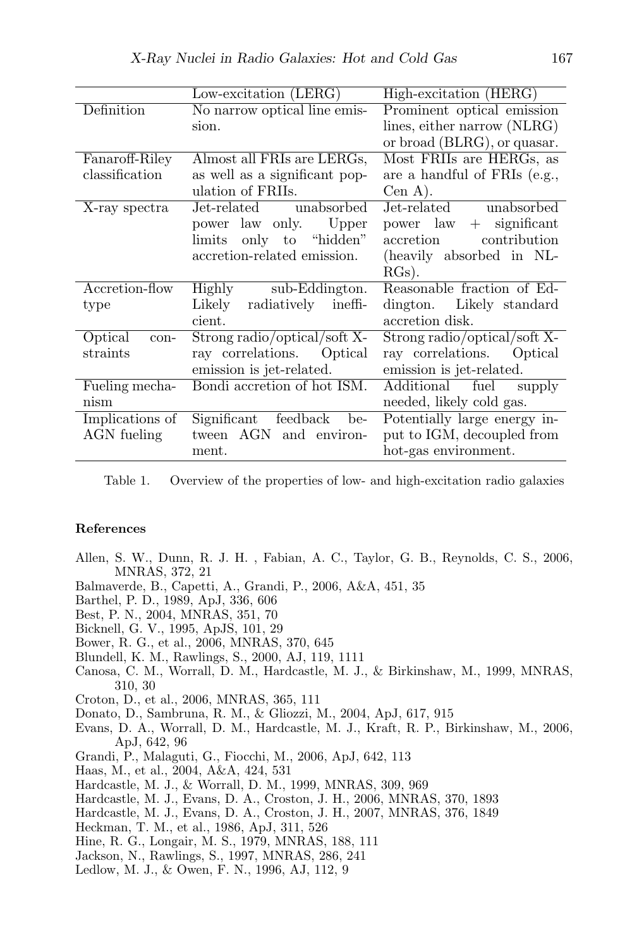|                 | Low-excitation $(LERG)$        | High-excitation (HERG)       |
|-----------------|--------------------------------|------------------------------|
| Definition      | No narrow optical line emis-   | Prominent optical emission   |
|                 | sion.                          | lines, either narrow (NLRG)  |
|                 |                                | or broad (BLRG), or quasar.  |
| Fanaroff-Riley  | Almost all FRIs are LERGs,     | Most FRIIs are HERGs, as     |
| classification  | as well as a significant pop-  | are a handful of FRIs (e.g., |
|                 | ulation of FRIIs.              | $Cen A$ ).                   |
| X-ray spectra   | Jet-related unabsorbed         | Jet-related unabsorbed       |
|                 | Upper<br>power law only.       | $+$ significant<br>power law |
|                 | limits only to "hidden"        | contribution<br>accretion    |
|                 | accretion-related emission.    | (heavily absorbed in NL-     |
|                 |                                | $RGs$ ).                     |
| Accretion-flow  | sub-Eddington.<br>Highly       | Reasonable fraction of Ed-   |
| type            | radiatively ineffi-<br>Likely  | dington. Likely standard     |
|                 | cient.                         | accretion disk.              |
| Optical<br>con- | Strong radio/optical/soft X-   | Strong radio/optical/soft X- |
| straints        | ray correlations. Optical      | ray correlations. Optical    |
|                 | emission is jet-related.       | emission is jet-related.     |
| Fueling mecha-  | Bondi accretion of hot ISM.    | Additional fuel<br>supply    |
| nism            |                                | needed, likely cold gas.     |
| Implications of | Significant<br>feedback<br>be- | Potentially large energy in- |
| AGN fueling     | tween AGN and environ-         | put to IGM, decoupled from   |
|                 | ment.                          | hot-gas environment.         |

Table 1. Overview of the properties of low- and high-excitation radio galaxies

### References

- Allen, S. W., Dunn, R. J. H. , Fabian, A. C., Taylor, G. B., Reynolds, C. S., 2006, MNRAS, 372, 21
- Balmaverde, B., Capetti, A., Grandi, P., 2006, A&A, 451, 35
- Barthel, P. D., 1989, ApJ, 336, 606
- Best, P. N., 2004, MNRAS, 351, 70
- Bicknell, G. V., 1995, ApJS, 101, 29
- Bower, R. G., et al., 2006, MNRAS, 370, 645
- Blundell, K. M., Rawlings, S., 2000, AJ, 119, 1111
- Canosa, C. M., Worrall, D. M., Hardcastle, M. J., & Birkinshaw, M., 1999, MNRAS, 310, 30
- Croton, D., et al., 2006, MNRAS, 365, 111
- Donato, D., Sambruna, R. M., & Gliozzi, M., 2004, ApJ, 617, 915
- Evans, D. A., Worrall, D. M., Hardcastle, M. J., Kraft, R. P., Birkinshaw, M., 2006, ApJ, 642, 96
- Grandi, P., Malaguti, G., Fiocchi, M., 2006, ApJ, 642, 113
- Haas, M., et al., 2004, A&A, 424, 531
- Hardcastle, M. J., & Worrall, D. M., 1999, MNRAS, 309, 969
- Hardcastle, M. J., Evans, D. A., Croston, J. H., 2006, MNRAS, 370, 1893
- Hardcastle, M. J., Evans, D. A., Croston, J. H., 2007, MNRAS, 376, 1849
- Heckman, T. M., et al., 1986, ApJ, 311, 526
- Hine, R. G., Longair, M. S., 1979, MNRAS, 188, 111
- Jackson, N., Rawlings, S., 1997, MNRAS, 286, 241
- Ledlow, M. J., & Owen, F. N., 1996, AJ, 112, 9